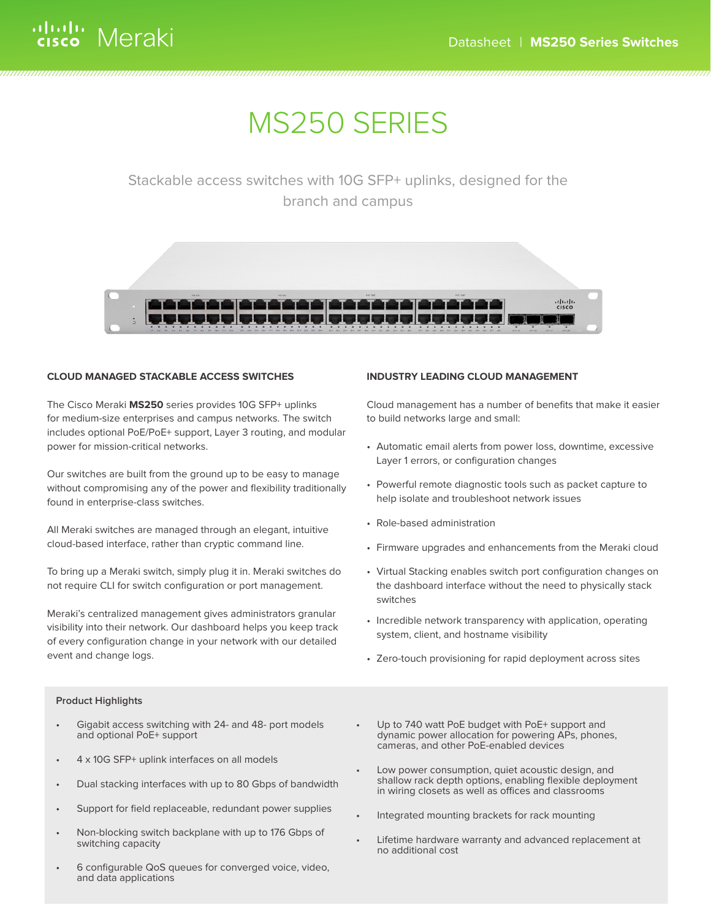# MS250 SERIES

# Stackable access switches with 10G SFP+ uplinks, designed for the branch and campus



### **CLOUD MANAGED STACKABLE ACCESS SWITCHES**

The Cisco Meraki **MS250** series provides 10G SFP+ uplinks for medium-size enterprises and campus networks. The switch includes optional PoE/PoE+ support, Layer 3 routing, and modular power for mission-critical networks.

Our switches are built from the ground up to be easy to manage without compromising any of the power and flexibility traditionally found in enterprise-class switches.

All Meraki switches are managed through an elegant, intuitive cloud-based interface, rather than cryptic command line.

To bring up a Meraki switch, simply plug it in. Meraki switches do not require CLI for switch configuration or port management.

Meraki's centralized management gives administrators granular visibility into their network. Our dashboard helps you keep track of every configuration change in your network with our detailed event and change logs.

# **INDUSTRY LEADING CLOUD MANAGEMENT**

Cloud management has a number of benefits that make it easier to build networks large and small:

- Automatic email alerts from power loss, downtime, excessive Layer 1 errors, or configuration changes
- Powerful remote diagnostic tools such as packet capture to help isolate and troubleshoot network issues
- Role-based administration
- Firmware upgrades and enhancements from the Meraki cloud
- Virtual Stacking enables switch port configuration changes on the dashboard interface without the need to physically stack switches
- Incredible network transparency with application, operating system, client, and hostname visibility
- Zero-touch provisioning for rapid deployment across sites

### **Product Highlights**

- Gigabit access switching with 24- and 48- port models and optional PoE+ support
- 4 x 10G SFP+ uplink interfaces on all models
- Dual stacking interfaces with up to 80 Gbps of bandwidth
- Support for field replaceable, redundant power supplies
- Non-blocking switch backplane with up to 176 Gbps of switching capacity
- 6 configurable QoS queues for converged voice, video, and data applications
- Up to 740 watt PoE budget with PoE+ support and dynamic power allocation for powering APs, phones, cameras, and other PoE-enabled devices
- Low power consumption, quiet acoustic design, and shallow rack depth options, enabling flexible deployment in wiring closets as well as offices and classrooms
- Integrated mounting brackets for rack mounting
- Lifetime hardware warranty and advanced replacement at no additional cost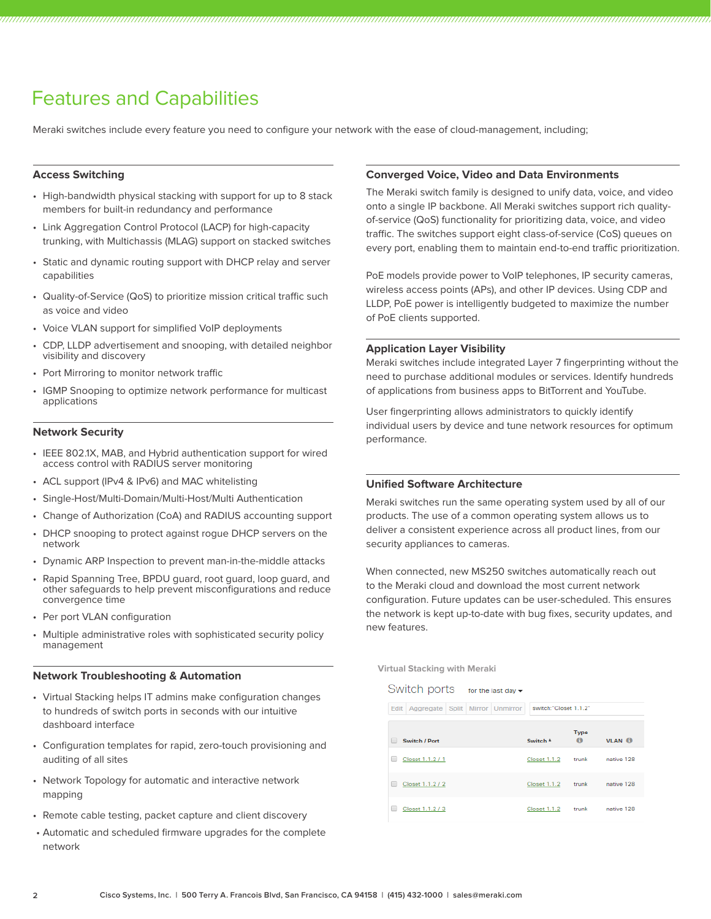# Features and Capabilities

Meraki switches include every feature you need to configure your network with the ease of cloud-management, including;

# **Access Switching**

- High-bandwidth physical stacking with support for up to 8 stack members for built-in redundancy and performance
- Link Aggregation Control Protocol (LACP) for high-capacity trunking, with Multichassis (MLAG) support on stacked switches
- Static and dynamic routing support with DHCP relay and server capabilities
- Quality-of-Service (QoS) to prioritize mission critical traffic such as voice and video
- Voice VLAN support for simplified VoIP deployments
- CDP, LLDP advertisement and snooping, with detailed neighbor visibility and discovery
- Port Mirroring to monitor network traffic
- IGMP Snooping to optimize network performance for multicast applications

### **Network Security**

- IEEE 802.1X, MAB, and Hybrid authentication support for wired access control with RADIUS server monitoring
- ACL support (IPv4 & IPv6) and MAC whitelisting
- Single-Host/Multi-Domain/Multi-Host/Multi Authentication
- Change of Authorization (CoA) and RADIUS accounting support
- DHCP snooping to protect against rogue DHCP servers on the network
- Dynamic ARP Inspection to prevent man-in-the-middle attacks
- Rapid Spanning Tree, BPDU guard, root guard, loop guard, and other safeguards to help prevent misconfigurations and reduce convergence time
- Per port VLAN configuration
- Multiple administrative roles with sophisticated security policy management

### **Network Troubleshooting & Automation**

- Virtual Stacking helps IT admins make configuration changes to hundreds of switch ports in seconds with our intuitive dashboard interface
- Configuration templates for rapid, zero-touch provisioning and auditing of all sites
- Network Topology for automatic and interactive network mapping
- Remote cable testing, packet capture and client discovery
- Automatic and scheduled firmware upgrades for the complete network

### **Converged Voice, Video and Data Environments**

The Meraki switch family is designed to unify data, voice, and video onto a single IP backbone. All Meraki switches support rich qualityof-service (QoS) functionality for prioritizing data, voice, and video traffic. The switches support eight class-of-service (CoS) queues on every port, enabling them to maintain end-to-end traffic prioritization.

PoE models provide power to VoIP telephones, IP security cameras, wireless access points (APs), and other IP devices. Using CDP and LLDP, PoE power is intelligently budgeted to maximize the number of PoE clients supported.

### **Application Layer Visibility**

Meraki switches include integrated Layer 7 fingerprinting without the need to purchase additional modules or services. Identify hundreds of applications from business apps to BitTorrent and YouTube.

User fingerprinting allows administrators to quickly identify individual users by device and tune network resources for optimum performance.

# **Unified Software Architecture**

Meraki switches run the same operating system used by all of our products. The use of a common operating system allows us to deliver a consistent experience across all product lines, from our security appliances to cameras.

When connected, new MS250 switches automatically reach out to the Meraki cloud and download the most current network configuration. Future updates can be user-scheduled. This ensures the network is kept up-to-date with bug fixes, security updates, and new features.

**Virtual Stacking with Meraki**

| Switch ports |                                              |  | for the last day $\blacktriangledown$ |                       |                          |                                     |
|--------------|----------------------------------------------|--|---------------------------------------|-----------------------|--------------------------|-------------------------------------|
|              | Edit   Aggregate   Split   Mirror   Unmirror |  |                                       | switch:"Closet 1.1.2" |                          |                                     |
|              | Switch / Port                                |  |                                       | Switch <sup>+</sup>   | <b>Type</b><br>$\bullet$ | <b>VLAN</b> <sup><sup>6</sup></sup> |
|              | Closet 1.1.2 / 1                             |  |                                       | Closet 1.1.2          | trunk                    | native 128                          |
|              | Closet 1.1.2 / 2                             |  |                                       | Closet 1.1.2          | trunk                    | native 128                          |
|              | Closet 1.1.2 / 3                             |  |                                       | Closet 1.1.2          | trunk                    | native 128                          |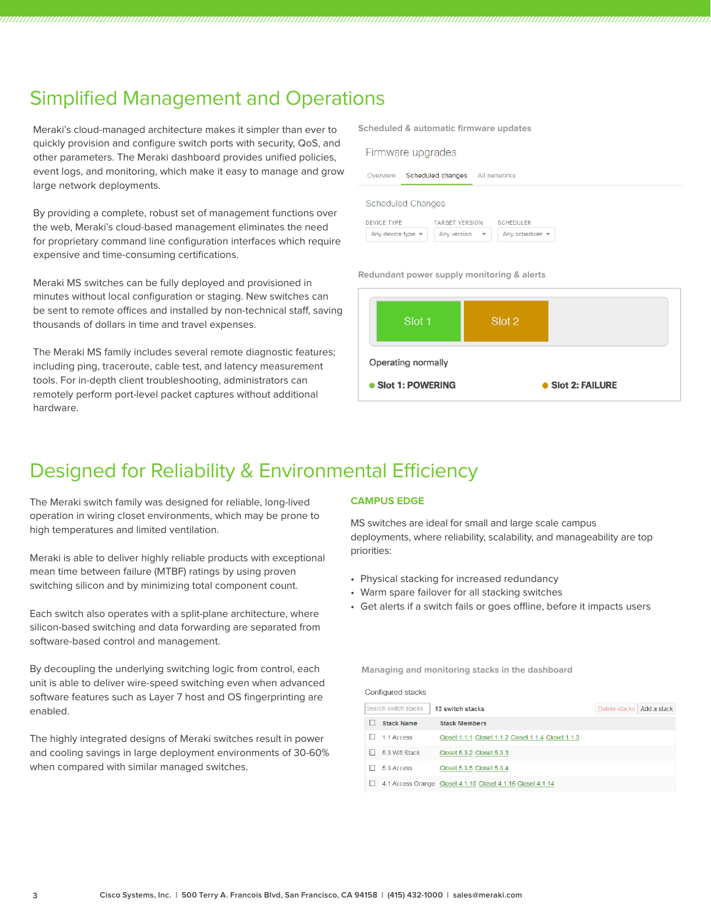# Simplified Management and Operations

Meraki's cloud-managed architecture makes it simpler than ever to quickly provision and configure switch ports with security, QoS, and other parameters. The Meraki dashboard provides unified policies, event logs, and monitoring, which make it easy to manage and grow large network deployments.

By providing a complete, robust set of management functions over the web, Meraki's cloud-based management eliminates the need for proprietary command line configuration interfaces which require expensive and time-consuming certifications.

Meraki MS switches can be fully deployed and provisioned in minutes without local configuration or staging. New switches can be sent to remote offices and installed by non-technical staff, saving thousands of dollars in time and travel expenses.

The Meraki MS family includes several remote diagnostic features; including ping, traceroute, cable test, and latency measurement tools. For in-depth client troubleshooting, administrators can remotely perform port-level packet captures without additional hardware.

**Scheduled & automatic firmware updates**

| Firmware upgrades |  |
|-------------------|--|
|                   |  |



#### Scheduled Changes

| DEVICE TYPE                          | <b>TARGET VERSION</b>                   | <b>SCHEDULER</b>                   |  |
|--------------------------------------|-----------------------------------------|------------------------------------|--|
| Any device type $\blacktriangledown$ | Any version<br>$\overline{\phantom{0}}$ | Any scheduler $\blacktriangledown$ |  |

**Redundant power supply monitoring & alerts**



# Designed for Reliability & Environmental Efficiency

The Meraki switch family was designed for reliable, long-lived operation in wiring closet environments, which may be prone to high temperatures and limited ventilation.

Meraki is able to deliver highly reliable products with exceptional mean time between failure (MTBF) ratings by using proven switching silicon and by minimizing total component count.

Each switch also operates with a split-plane architecture, where silicon-based switching and data forwarding are separated from software-based control and management.

By decoupling the underlying switching logic from control, each unit is able to deliver wire-speed switching even when advanced software features such as Layer 7 host and OS fingerprinting are enabled.

The highly integrated designs of Meraki switches result in power and cooling savings in large deployment environments of 30-60% when compared with similar managed switches.

### **CAMPUS EDGE**

MS switches are ideal for small and large scale campus deployments, where reliability, scalability, and manageability are top priorities:

- Physical stacking for increased redundancy
- Warm spare failover for all stacking switches
- Get alerts if a switch fails or goes offline, before it impacts users

**Managing and monitoring stacks in the dashboard**

Configured stacks

| Search switch stacks |                   | <b>13 switch stacks</b>                                     | Delete stacks   Add a stack |  |
|----------------------|-------------------|-------------------------------------------------------------|-----------------------------|--|
|                      | <b>Stack Name</b> | <b>Stack Members</b>                                        |                             |  |
|                      | 1.1 Access        | Closet 1.1.1 Closet 1.1.2 Closet 1.1.4 Closet 1.1.3         |                             |  |
|                      | 5.3 Wifi Stack    | Closet 5.3.2 Closet 5.3.3                                   |                             |  |
|                      | 5.3 Access        | Closet 5.3.5 Closet 5.3.4                                   |                             |  |
|                      |                   | 4.1 Access Orange Closet 4.1.15 Closet 4.1.16 Closet 4.1.14 |                             |  |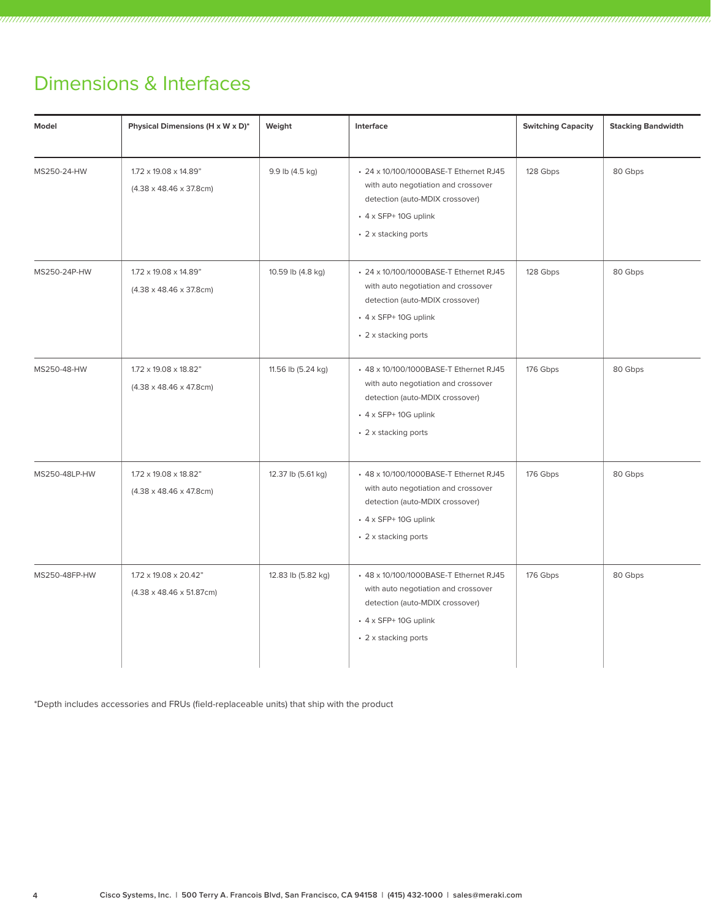# Dimensions & Interfaces

| Model         | Physical Dimensions (H x W x D)*                               | Weight             | Interface                                                                                                                                                               | <b>Switching Capacity</b> | <b>Stacking Bandwidth</b> |
|---------------|----------------------------------------------------------------|--------------------|-------------------------------------------------------------------------------------------------------------------------------------------------------------------------|---------------------------|---------------------------|
| MS250-24-HW   | 1.72 x 19.08 x 14.89"<br>$(4.38 \times 48.46 \times 37.8$ cm)  | 9.9 lb (4.5 kg)    | • 24 x 10/100/1000BASE-T Ethernet RJ45<br>with auto negotiation and crossover<br>detection (auto-MDIX crossover)<br>$\cdot$ 4 x SFP+ 10G uplink<br>• 2 x stacking ports | 128 Gbps                  | 80 Gbps                   |
| MS250-24P-HW  | 1.72 x 19.08 x 14.89"<br>$(4.38 \times 48.46 \times 37.8$ cm)  | 10.59 lb (4.8 kg)  | • 24 x 10/100/1000BASE-T Ethernet RJ45<br>with auto negotiation and crossover<br>detection (auto-MDIX crossover)<br>$\cdot$ 4 x SFP+10G uplink<br>• 2 x stacking ports  | 128 Gbps                  | 80 Gbps                   |
| MS250-48-HW   | 1.72 x 19.08 x 18.82"<br>$(4.38 \times 48.46 \times 47.8$ cm)  | 11.56 lb (5.24 kg) | + 48 x 10/100/1000BASE-T Ethernet RJ45<br>with auto negotiation and crossover<br>detection (auto-MDIX crossover)<br>$\cdot$ 4 x SFP+ 10G uplink<br>• 2 x stacking ports | 176 Gbps                  | 80 Gbps                   |
| MS250-48LP-HW | 1.72 x 19.08 x 18.82"<br>$(4.38 \times 48.46 \times 47.8$ cm)  | 12.37 lb (5.61 kg) | + 48 x 10/100/1000BASE-T Ethernet RJ45<br>with auto negotiation and crossover<br>detection (auto-MDIX crossover)<br>$\cdot$ 4 x SFP+ 10G uplink<br>• 2 x stacking ports | 176 Gbps                  | 80 Gbps                   |
| MS250-48FP-HW | 1.72 x 19.08 x 20.42"<br>$(4.38 \times 48.46 \times 51.87$ cm) | 12.83 lb (5.82 kg) | + 48 x 10/100/1000BASE-T Ethernet RJ45<br>with auto negotiation and crossover<br>detection (auto-MDIX crossover)<br>$\cdot$ 4 x SFP+ 10G uplink<br>• 2 x stacking ports | 176 Gbps                  | 80 Gbps                   |

\*Depth includes accessories and FRUs (field-replaceable units) that ship with the product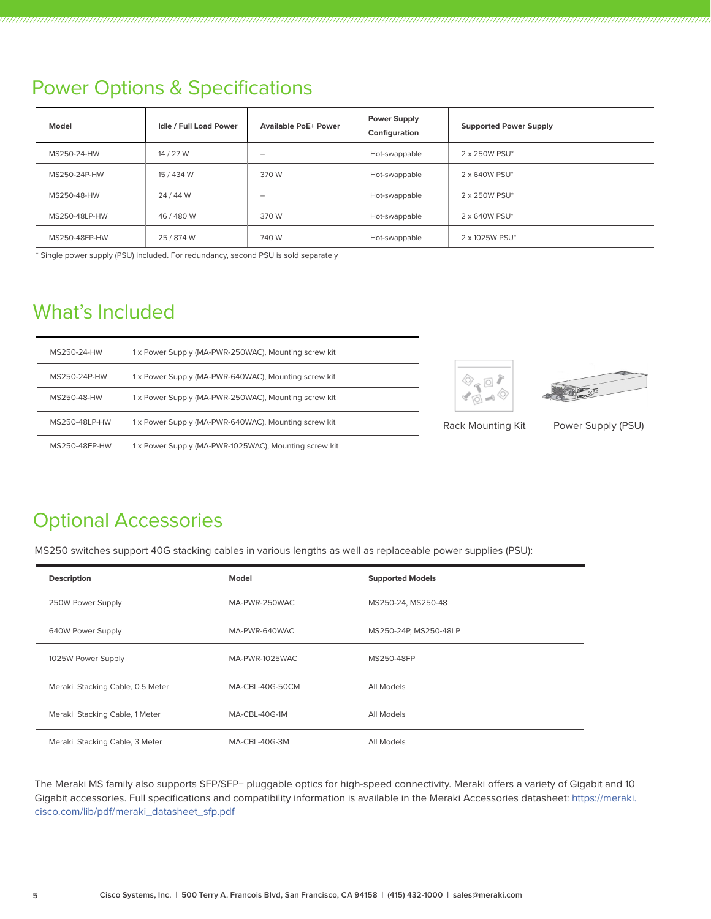# Power Options & Specifications

| Model         | <b>Idle / Full Load Power</b> | <b>Available PoE+ Power</b> | <b>Power Supply</b><br>Configuration | <b>Supported Power Supply</b> |
|---------------|-------------------------------|-----------------------------|--------------------------------------|-------------------------------|
| MS250-24-HW   | 14 / 27 W                     | -                           | Hot-swappable                        | 2 x 250W PSU*                 |
| MS250-24P-HW  | 15/434 W                      | 370 W                       | Hot-swappable                        | 2 x 640W PSU*                 |
| MS250-48-HW   | 24 / 44 W                     | $\overline{\phantom{0}}$    | Hot-swappable                        | 2 x 250W PSU*                 |
| MS250-48LP-HW | 46/480W                       | 370 W                       | Hot-swappable                        | 2 x 640W PSU*                 |
| MS250-48FP-HW | 25/874 W                      | 740 W                       | Hot-swappable                        | 2 x 1025W PSU*                |

\* Single power supply (PSU) included. For redundancy, second PSU is sold separately

# What's Included

| MS250-24-HW   | 1x Power Supply (MA-PWR-250WAC), Mounting screw kit  |
|---------------|------------------------------------------------------|
| MS250-24P-HW  | 1x Power Supply (MA-PWR-640WAC), Mounting screw kit  |
| MS250-48-HW   | 1 x Power Supply (MA-PWR-250WAC), Mounting screw kit |
| MS250-48LP-HW | 1x Power Supply (MA-PWR-640WAC), Mounting screw kit  |
| MS250-48FP-HW | 1x Power Supply (MA-PWR-1025WAC), Mounting screw kit |





Rack Mounting Kit Power Supply (PSU)

# Optional Accessories

MS250 switches support 40G stacking cables in various lengths as well as replaceable power supplies (PSU):

| <b>Description</b>               | Model           | <b>Supported Models</b> |
|----------------------------------|-----------------|-------------------------|
| 250W Power Supply                | MA-PWR-250WAC   | MS250-24, MS250-48      |
| 640W Power Supply                | MA-PWR-640WAC   | MS250-24P, MS250-48LP   |
| 1025W Power Supply               | MA-PWR-1025WAC  | MS250-48FP              |
| Meraki Stacking Cable, 0.5 Meter | MA-CBL-40G-50CM | All Models              |
| Meraki Stacking Cable, 1 Meter   | MA-CBL-40G-1M   | All Models              |
| Meraki Stacking Cable, 3 Meter   | MA-CBL-40G-3M   | All Models              |

The Meraki MS family also supports SFP/SFP+ pluggable optics for high-speed connectivity. Meraki offers a variety of Gigabit and 10 Gigabit accessories. Full specifications and compatibility information is available in the Meraki Accessories datasheet: https://meraki. cisco.com/lib/pdf/meraki\_datasheet\_sfp.pdf